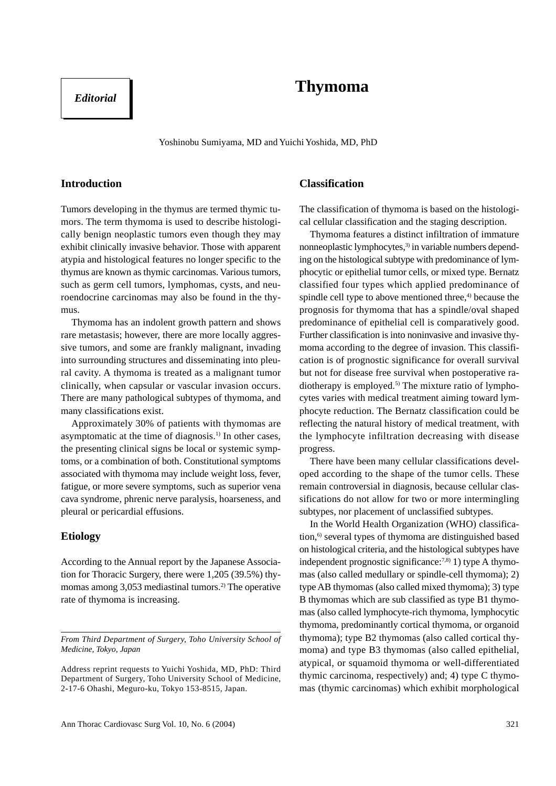# **Thymoma**

# *Editorial*

Yoshinobu Sumiyama, MD and Yuichi Yoshida, MD, PhD

### **Introduction**

Tumors developing in the thymus are termed thymic tumors. The term thymoma is used to describe histologically benign neoplastic tumors even though they may exhibit clinically invasive behavior. Those with apparent atypia and histological features no longer specific to the thymus are known as thymic carcinomas. Various tumors, such as germ cell tumors, lymphomas, cysts, and neuroendocrine carcinomas may also be found in the thymus.

Thymoma has an indolent growth pattern and shows rare metastasis; however, there are more locally aggressive tumors, and some are frankly malignant, invading into surrounding structures and disseminating into pleural cavity. A thymoma is treated as a malignant tumor clinically, when capsular or vascular invasion occurs. There are many pathological subtypes of thymoma, and many classifications exist.

Approximately 30% of patients with thymomas are asymptomatic at the time of diagnosis.<sup>1)</sup> In other cases, the presenting clinical signs be local or systemic symptoms, or a combination of both. Constitutional symptoms associated with thymoma may include weight loss, fever, fatigue, or more severe symptoms, such as superior vena cava syndrome, phrenic nerve paralysis, hoarseness, and pleural or pericardial effusions.

### **Etiology**

According to the Annual report by the Japanese Association for Thoracic Surgery, there were 1,205 (39.5%) thymomas among 3,053 mediastinal tumors.<sup>2)</sup> The operative rate of thymoma is increasing.

# **Classification**

The classification of thymoma is based on the histological cellular classification and the staging description.

Thymoma features a distinct infiltration of immature nonneoplastic lymphocytes, $3$  in variable numbers depending on the histological subtype with predominance of lymphocytic or epithelial tumor cells, or mixed type. Bernatz classified four types which applied predominance of spindle cell type to above mentioned three, $4$  because the prognosis for thymoma that has a spindle/oval shaped predominance of epithelial cell is comparatively good. Further classification is into noninvasive and invasive thymoma according to the degree of invasion. This classification is of prognostic significance for overall survival but not for disease free survival when postoperative radiotherapy is employed.<sup>5)</sup> The mixture ratio of lymphocytes varies with medical treatment aiming toward lymphocyte reduction. The Bernatz classification could be reflecting the natural history of medical treatment, with the lymphocyte infiltration decreasing with disease progress.

There have been many cellular classifications developed according to the shape of the tumor cells. These remain controversial in diagnosis, because cellular classifications do not allow for two or more intermingling subtypes, nor placement of unclassified subtypes.

In the World Health Organization (WHO) classification,<sup>6)</sup> several types of thymoma are distinguished based on histological criteria, and the histological subtypes have independent prognostic significance: $^{7,8)}$  1) type A thymomas (also called medullary or spindle-cell thymoma); 2) type AB thymomas (also called mixed thymoma); 3) type B thymomas which are sub classified as type B1 thymomas (also called lymphocyte-rich thymoma, lymphocytic thymoma, predominantly cortical thymoma, or organoid thymoma); type B2 thymomas (also called cortical thymoma) and type B3 thymomas (also called epithelial, atypical, or squamoid thymoma or well-differentiated thymic carcinoma, respectively) and; 4) type C thymomas (thymic carcinomas) which exhibit morphological

*From Third Department of Surgery, Toho University School of Medicine, Tokyo, Japan*

Address reprint requests to Yuichi Yoshida, MD, PhD: Third Department of Surgery, Toho University School of Medicine, 2-17-6 Ohashi, Meguro-ku, Tokyo 153-8515, Japan.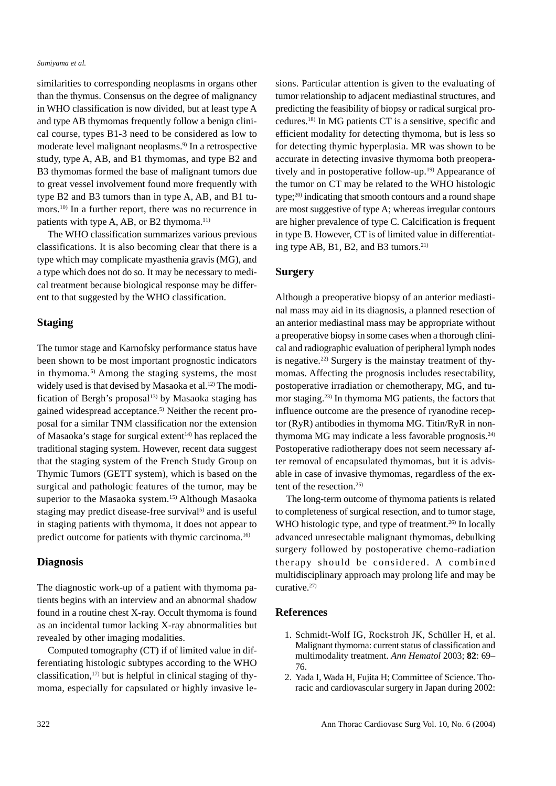similarities to corresponding neoplasms in organs other than the thymus. Consensus on the degree of malignancy in WHO classification is now divided, but at least type A and type AB thymomas frequently follow a benign clinical course, types B1-3 need to be considered as low to moderate level malignant neoplasms.9) In a retrospective study, type A, AB, and B1 thymomas, and type B2 and B3 thymomas formed the base of malignant tumors due to great vessel involvement found more frequently with type B2 and B3 tumors than in type A, AB, and B1 tumors.10) In a further report, there was no recurrence in patients with type A, AB, or B2 thymoma.<sup>11)</sup>

The WHO classification summarizes various previous classifications. It is also becoming clear that there is a type which may complicate myasthenia gravis (MG), and a type which does not do so. It may be necessary to medical treatment because biological response may be different to that suggested by the WHO classification.

# **Staging**

The tumor stage and Karnofsky performance status have been shown to be most important prognostic indicators in thymoma.<sup>5)</sup> Among the staging systems, the most widely used is that devised by Masaoka et al.<sup>12)</sup> The modification of Bergh's proposal<sup>13)</sup> by Masaoka staging has gained widespread acceptance.<sup>5)</sup> Neither the recent proposal for a similar TNM classification nor the extension of Masaoka's stage for surgical extent<sup>14)</sup> has replaced the traditional staging system. However, recent data suggest that the staging system of the French Study Group on Thymic Tumors (GETT system), which is based on the surgical and pathologic features of the tumor, may be superior to the Masaoka system.<sup>15)</sup> Although Masaoka staging may predict disease-free survival<sup>5)</sup> and is useful in staging patients with thymoma, it does not appear to predict outcome for patients with thymic carcinoma.16)

### **Diagnosis**

The diagnostic work-up of a patient with thymoma patients begins with an interview and an abnormal shadow found in a routine chest X-ray. Occult thymoma is found as an incidental tumor lacking X-ray abnormalities but revealed by other imaging modalities.

Computed tomography (CT) if of limited value in differentiating histologic subtypes according to the WHO classification, $17$  but is helpful in clinical staging of thymoma, especially for capsulated or highly invasive lesions. Particular attention is given to the evaluating of tumor relationship to adjacent mediastinal structures, and predicting the feasibility of biopsy or radical surgical procedures.18) In MG patients CT is a sensitive, specific and efficient modality for detecting thymoma, but is less so for detecting thymic hyperplasia. MR was shown to be accurate in detecting invasive thymoma both preoperatively and in postoperative follow-up.<sup>19)</sup> Appearance of the tumor on CT may be related to the WHO histologic type;20) indicating that smooth contours and a round shape are most suggestive of type A; whereas irregular contours are higher prevalence of type C. Calcification is frequent in type B. However, CT is of limited value in differentiating type AB, B1, B2, and B3 tumors. $21$ )

# **Surgery**

Although a preoperative biopsy of an anterior mediastinal mass may aid in its diagnosis, a planned resection of an anterior mediastinal mass may be appropriate without a preoperative biopsy in some cases when a thorough clinical and radiographic evaluation of peripheral lymph nodes is negative.<sup>22)</sup> Surgery is the mainstay treatment of thymomas. Affecting the prognosis includes resectability, postoperative irradiation or chemotherapy, MG, and tumor staging.23) In thymoma MG patients, the factors that influence outcome are the presence of ryanodine receptor (RyR) antibodies in thymoma MG. Titin/RyR in nonthymoma MG may indicate a less favorable prognosis. $24$ ) Postoperative radiotherapy does not seem necessary after removal of encapsulated thymomas, but it is advisable in case of invasive thymomas, regardless of the extent of the resection. $25$ 

The long-term outcome of thymoma patients is related to completeness of surgical resection, and to tumor stage, WHO histologic type, and type of treatment.<sup>26)</sup> In locally advanced unresectable malignant thymomas, debulking surgery followed by postoperative chemo-radiation therapy should be considered. A combined multidisciplinary approach may prolong life and may be curative.27)

### **References**

- 1. Schmidt-Wolf IG, Rockstroh JK, Schüller H, et al. Malignant thymoma: current status of classification and multimodality treatment. *Ann Hematol* 2003; **82**: 69– 76.
- 2. Yada I, Wada H, Fujita H; Committee of Science. Thoracic and cardiovascular surgery in Japan during 2002: